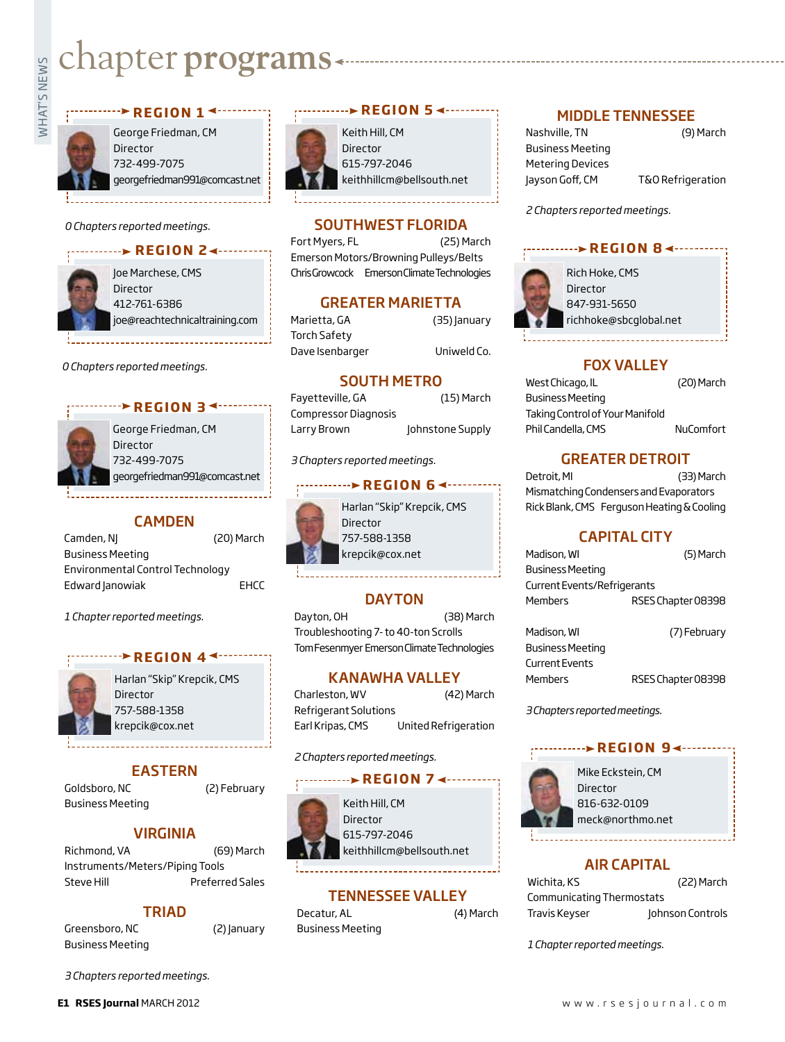# Exampler **programs**

George Friedman, CM Director 732-499-7075 georgefriedman991@comcast.net

*<u>REGION 1<sup>4</sup>*</u>

*0 Chapters reported meetings.*

#### **r e g i o n 2**



Joe Marchese, CMS Director 412-761-6386 joe@reachtechnicaltraining.com

*0 Chapters reported meetings.*

#### *<u><b>P* REGION 3<sup>4</sup></u>



George Friedman, CM Director 732-499-7075 georgefriedman991@comcast.net

#### **CAMDEN**

Camden, NJ (20) March Business Meeting Environmental Control Technology Edward Janowiak **EHCC** 

*1 Chapter reported meetings.*

#### *r* **example 4 example 4 example 4 example 4 example 4**



Harlan "Skip" Krepcik, CMS Director 757-588-1358 krepcik@cox.net

#### EASTERN

Goldsboro, NC (2) February Business Meeting

#### VIRGINIA

Richmond, VA (69) March Instruments/Meters/Piping Tools Steve Hill **Preferred Sales** 

#### TRIAD

Greensboro, NC (2) January Business Meeting

*3 Chapters reported meetings.*



Keith Hill, CM Director 615-797-2046 keithhillcm@bellsouth.net

#### SOUTHWEST FLORIDA

Fort Myers, FL (25) March Emerson Motors/Browning Pulleys/Belts Chris Growcock Emerson Climate Technologies

#### GREATER MARIETTA

Marietta, GA (35) January Torch Safety Dave Isenbarger Uniweld Co.

SOUTH METRO

Fayetteville, GA (15) March Compressor Diagnosis Larry Brown Johnstone Supply

*3 Chapters reported meetings.*

#### **REGION 64-------**



757-588-1358 krepcik@cox.net

#### **DAYTON**

Dayton, OH (38) March Troubleshooting 7- to 40-ton Scrolls Tom Fesenmyer Emerson Climate Technologies

#### KANAWHA VALLEY

Charleston, WV (42) March Refrigerant Solutions Earl Kripas, CMS United Refrigeration

#### *2 Chapters reported meetings.*

#### **r e g i o n 7** Mike Eckstein, CM



Keith Hill, CM Director 615-797-2046 keithhillcm@bellsouth.net

#### TENNESSEE VALLEY

Decatur, AL (4) March Business Meeting

#### MIDDLE TENNESSEE

Nashville, TN (9) March Business Meeting Metering Devices Jayson Goff, CM T&O Refrigeration

*2 Chapters reported meetings.*





Rich Hoke, CMS Director 847-931-5650 richhoke@sbcglobal.net

#### Fox Valley

| West Chicago, IL                | (20) March |
|---------------------------------|------------|
| <b>Business Meeting</b>         |            |
| Taking Control of Your Manifold |            |
| Phil Candella, CMS              | NuComfort  |

#### GREATER DETROIT

Detroit, MI (33) March Mismatching Condensers and Evaporators Rick Blank, CMS Ferguson Heating & Cooling

#### CAPITAL CITY

| Madison, WI                 | (5) March          |
|-----------------------------|--------------------|
| <b>Business Meeting</b>     |                    |
| Current Events/Refrigerants |                    |
| <b>Members</b>              | RSES Chapter 08398 |
|                             |                    |

| Madison, Wl             | (7) February       |
|-------------------------|--------------------|
| <b>Business Meeting</b> |                    |
| Current Events          |                    |
| Members                 | RSES Chapter 08398 |

*3 Chapters reported meetings.*

#### *REGION 9∢…*



Director 816-632-0109 meck@northmo.net

#### AIR CAPITAL

| Wichita, KS               | (22) March       |
|---------------------------|------------------|
| Communicating Thermostats |                  |
| Travis Keyser             | Johnson Controls |

*1 Chapter reported meetings.*